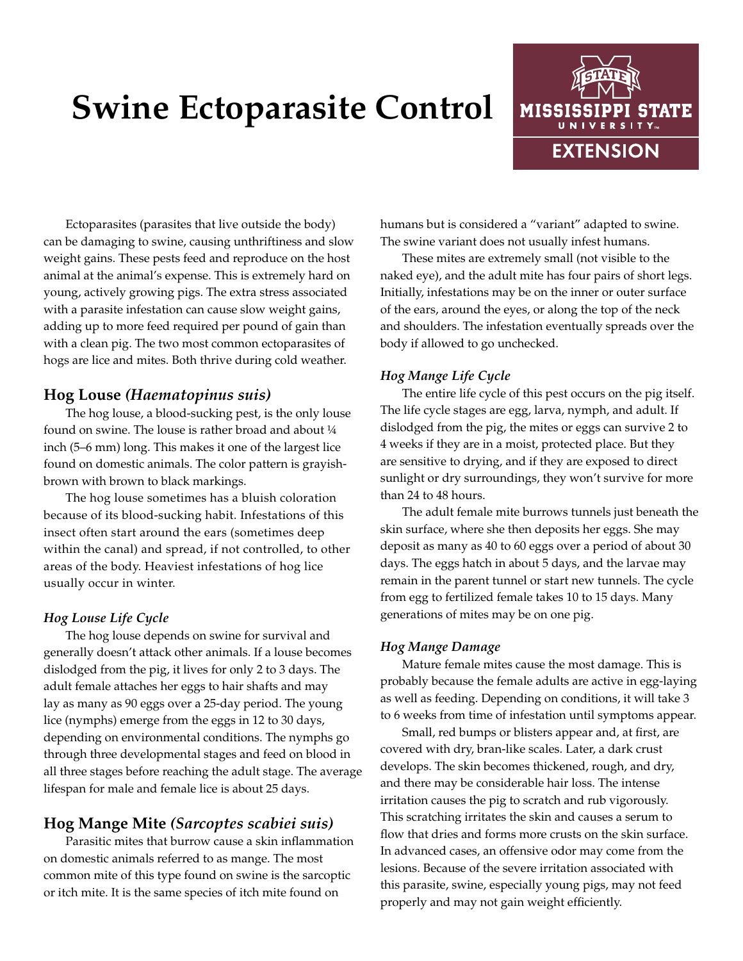# **Swine Ectoparasite Control**



Ectoparasites (parasites that live outside the body) can be damaging to swine, causing unthriftiness and slow weight gains. These pests feed and reproduce on the host animal at the animal's expense. This is extremely hard on young, actively growing pigs. The extra stress associated with a parasite infestation can cause slow weight gains, adding up to more feed required per pound of gain than with a clean pig. The two most common ectoparasites of hogs are lice and mites. Both thrive during cold weather.

### **Hog Louse** *(Haematopinus suis)*

The hog louse, a blood-sucking pest, is the only louse found on swine. The louse is rather broad and about ¼ inch (5–6 mm) long. This makes it one of the largest lice found on domestic animals. The color pattern is grayishbrown with brown to black markings.

The hog louse sometimes has a bluish coloration because of its blood-sucking habit. Infestations of this insect often start around the ears (sometimes deep within the canal) and spread, if not controlled, to other areas of the body. Heaviest infestations of hog lice usually occur in winter.

### *Hog Louse Life Cycle*

The hog louse depends on swine for survival and generally doesn't attack other animals. If a louse becomes dislodged from the pig, it lives for only 2 to 3 days. The adult female attaches her eggs to hair shafts and may lay as many as 90 eggs over a 25-day period. The young lice (nymphs) emerge from the eggs in 12 to 30 days, depending on environmental conditions. The nymphs go through three developmental stages and feed on blood in all three stages before reaching the adult stage. The average lifespan for male and female lice is about 25 days.

# **Hog Mange Mite** *(Sarcoptes scabiei suis)*

Parasitic mites that burrow cause a skin inflammation on domestic animals referred to as mange. The most common mite of this type found on swine is the sarcoptic or itch mite. It is the same species of itch mite found on

humans but is considered a "variant" adapted to swine. The swine variant does not usually infest humans.

These mites are extremely small (not visible to the naked eye), and the adult mite has four pairs of short legs. Initially, infestations may be on the inner or outer surface of the ears, around the eyes, or along the top of the neck and shoulders. The infestation eventually spreads over the body if allowed to go unchecked.

#### *Hog Mange Life Cycle*

The entire life cycle of this pest occurs on the pig itself. The life cycle stages are egg, larva, nymph, and adult. If dislodged from the pig, the mites or eggs can survive 2 to 4 weeks if they are in a moist, protected place. But they are sensitive to drying, and if they are exposed to direct sunlight or dry surroundings, they won't survive for more than 24 to 48 hours.

The adult female mite burrows tunnels just beneath the skin surface, where she then deposits her eggs. She may deposit as many as 40 to 60 eggs over a period of about 30 days. The eggs hatch in about 5 days, and the larvae may remain in the parent tunnel or start new tunnels. The cycle from egg to fertilized female takes 10 to 15 days. Many generations of mites may be on one pig.

#### *Hog Mange Damage*

Mature female mites cause the most damage. This is probably because the female adults are active in egg-laying as well as feeding. Depending on conditions, it will take 3 to 6 weeks from time of infestation until symptoms appear.

Small, red bumps or blisters appear and, at first, are covered with dry, bran-like scales. Later, a dark crust develops. The skin becomes thickened, rough, and dry, and there may be considerable hair loss. The intense irritation causes the pig to scratch and rub vigorously. This scratching irritates the skin and causes a serum to flow that dries and forms more crusts on the skin surface. In advanced cases, an offensive odor may come from the lesions. Because of the severe irritation associated with this parasite, swine, especially young pigs, may not feed properly and may not gain weight efficiently.